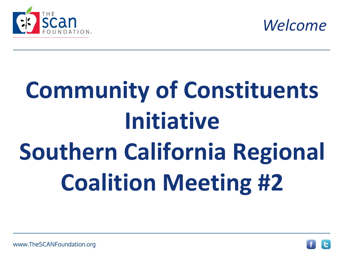



# **Community of Constituents Initiative Southern California Regional Coalition Meeting #2**

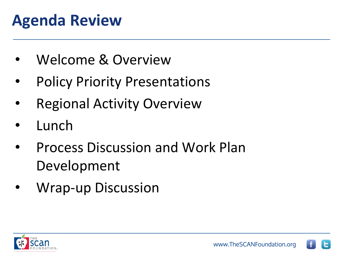#### **Agenda Review**

- Welcome & Overview
- Policy Priority Presentations
- **Regional Activity Overview**
- **Lunch**
- Process Discussion and Work Plan Development
- Wrap-up Discussion



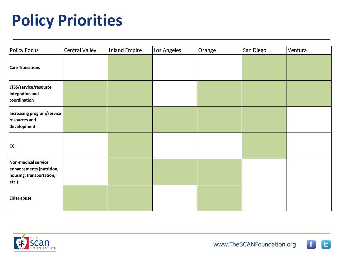#### **Policy Priorities**

| <b>Policy Focus</b>                                                                  | Central Valley | <b>Inland Empire</b> | Los Angeles | Orange | San Diego | Ventura |
|--------------------------------------------------------------------------------------|----------------|----------------------|-------------|--------|-----------|---------|
| <b>Care Transitions</b>                                                              |                |                      |             |        |           |         |
| LTSS/service/resource<br>Integration and<br>coordination                             |                |                      |             |        |           |         |
| Increasing program/service<br>resources and<br>development                           |                |                      |             |        |           |         |
| <b>CCI</b>                                                                           |                |                      |             |        |           |         |
| Non-medical service<br>enhancements (nutrition,<br>housing, transportation,<br>etc.) |                |                      |             |        |           |         |
| <b>Elder abuse</b>                                                                   |                |                      |             |        |           |         |



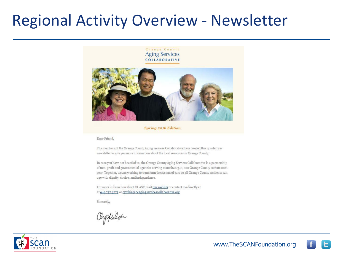#### Regional Activity Overview - Newsletter

#### Orange County **Aging Services** COLLABORATIVE



**Spring 2016 Edition** 

Dear Friend,

The members of the Orange County Aging Services Collaborative have created this quarterly enewsletter to give you more information about the local resources in Orange County.

In case you have not heard of us, the Orange County Aging Services Collaborative is a partnership of non-profit and governmental agencies serving more than 340,000 Orange County seniors each year. Together, we are working to transform the system of care so all Orange County residents can age with dignity, choice, and independence.

For more information about OCASC, visit our website or contact me directly at at 949.757.3775 or cynthia@ocagingservicescollaborative.org.

Sincerely,

Oypkulch



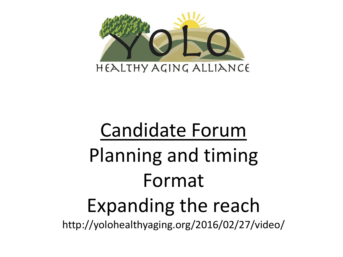

## Candidate Forum Planning and timing Format Expanding the reach http://yolohealthyaging.org/2016/02/27/video/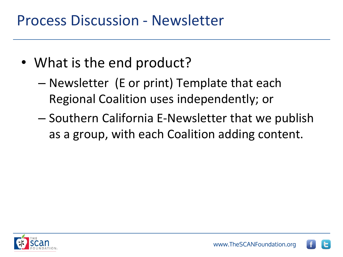#### Process Discussion - Newsletter

- What is the end product?
	- Newsletter (E or print) Template that each Regional Coalition uses independently; or
	- Southern California E-Newsletter that we publish as a group, with each Coalition adding content.



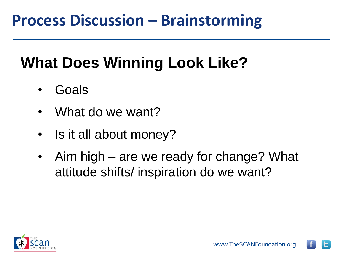#### **What Does Winning Look Like?**

- Goals
- What do we want?
- Is it all about money?
- Aim high are we ready for change? What attitude shifts/ inspiration do we want?

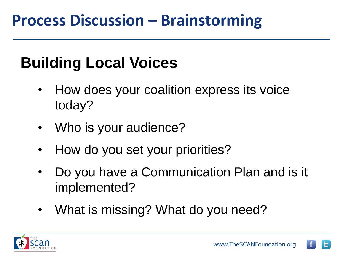#### **Building Local Voices**

- How does your coalition express its voice today?
- Who is your audience?
- How do you set your priorities?
- Do you have a Communication Plan and is it implemented?
- What is missing? What do you need?



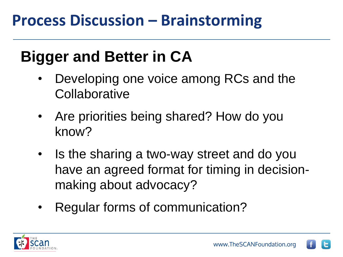#### **Bigger and Better in CA**

- Developing one voice among RCs and the **Collaborative**
- Are priorities being shared? How do you know?
- Is the sharing a two-way street and do you have an agreed format for timing in decisionmaking about advocacy?
- Regular forms of communication?



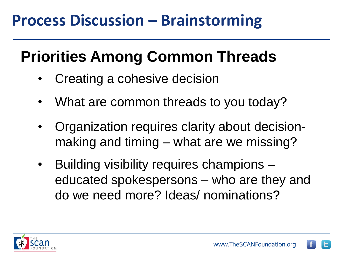#### **Priorities Among Common Threads**

- Creating a cohesive decision
- What are common threads to you today?
- Organization requires clarity about decisionmaking and timing – what are we missing?
- Building visibility requires champions educated spokespersons – who are they and do we need more? Ideas/ nominations?



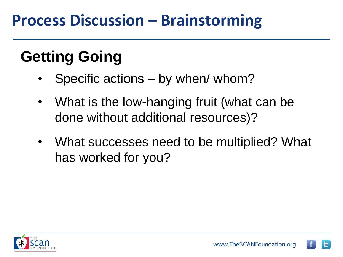#### **Getting Going**

- Specific actions by when/ whom?
- What is the low-hanging fruit (what can be done without additional resources)?
- What successes need to be multiplied? What has worked for you?

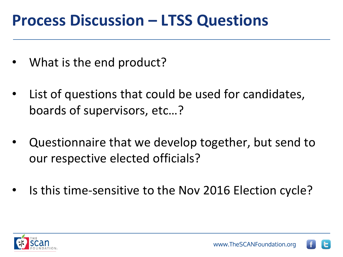#### **Process Discussion – LTSS Questions**

- What is the end product?
- List of questions that could be used for candidates, boards of supervisors, etc…?
- Questionnaire that we develop together, but send to our respective elected officials?
- Is this time-sensitive to the Nov 2016 Election cycle?